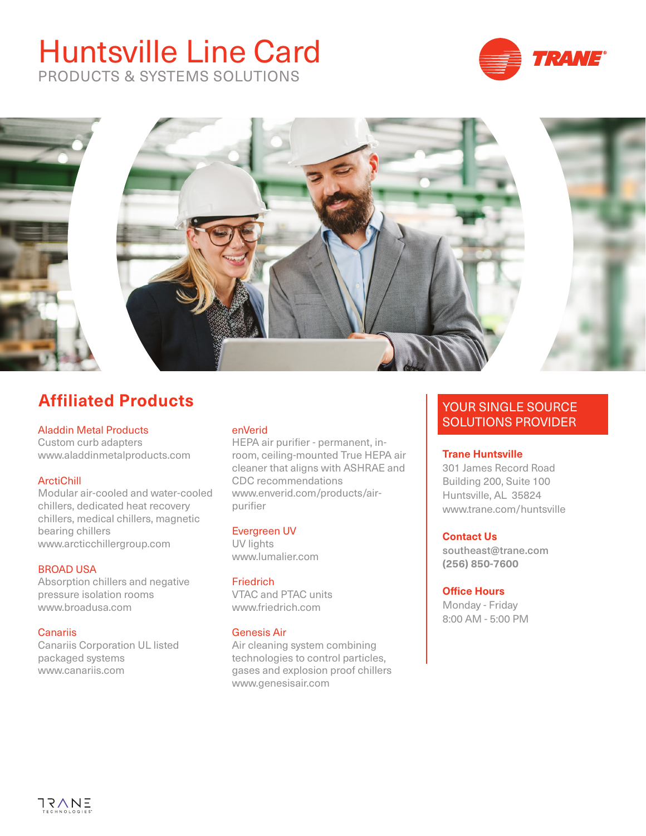# Huntsville Line Card PRODUCTS & SYSTEMS SOLUTIONS





## **Affiliated Products**

## Aladdin Metal Products

Custom curb adapters www.aladdinmetalproducts.com

## **ArctiChill**

Modular air-cooled and water-cooled chillers, dedicated heat recovery chillers, medical chillers, magnetic bearing chillers www.arcticchillergroup.com

## BROAD USA

Absorption chillers and negative pressure isolation rooms www.broadusa.com

## **Canariis**

Canariis Corporation UL listed packaged systems www.canariis.com

## enVerid

HEPA air purifier - permanent, inroom, ceiling-mounted True HEPA air cleaner that aligns with ASHRAE and CDC recommendations [www.enverid.com/products/air](https://enverid.com/products/air-purifier)[purifier](https://enverid.com/products/air-purifier)

## Evergreen UV

UV lights www.lumalier.com

## **Friedrich**

VTAC and PTAC units www.friedrich.com

## Genesis Air

Air cleaning system combining technologies to control particles, gases and explosion proof chillers www.genesisair.com

## YOUR SINGLE SOURCE SOLUTIONS PROVIDER

## **Trane Huntsville**

301 James Record Road Building 200, Suite 100 Huntsville, AL 35824 www.trane.com/huntsville

## **Contact Us**

southeast@trane.com **(256) 850-7600**

## **Office Hours**

Monday - Friday 8:00 AM - 5:00 PM